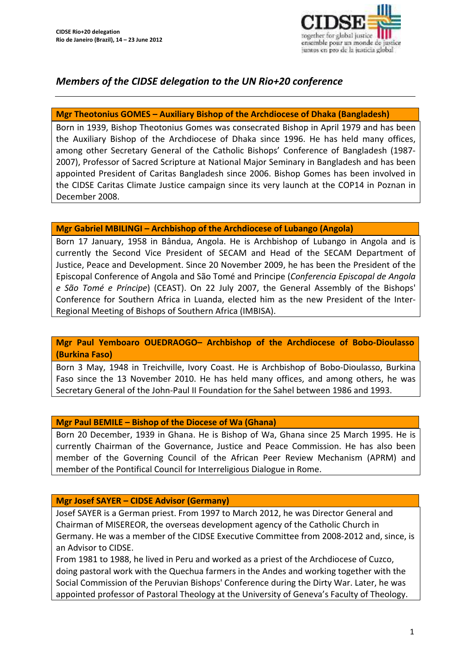

# *Members of the CIDSE delegation to the UN Rio+20 conference*

### **Mgr Theotonius GOMES – Auxiliary Bishop of the Archdiocese of Dhaka (Bangladesh)**

Born in 1939, Bishop Theotonius Gomes was consecrated Bishop in April 1979 and has been the Auxiliary Bishop of the Archdiocese of Dhaka since 1996. He has held many offices, among other Secretary General of the Catholic Bishops' Conference of Bangladesh (1987‐ 2007), Professor of Sacred Scripture at National Major Seminary in Bangladesh and has been appointed President of Caritas Bangladesh since 2006. Bishop Gomes has been involved in the CIDSE Caritas Climate Justice campaign since its very launch at the COP14 in Poznan in December 2008.

#### **Mgr Gabriel MBILINGI – Archbishop of the Archdiocese of Lubango (Angola)**

Born 17 January, 1958 in Bândua, Angola. He is Archbishop of Lubango in Angola and is currently the Second Vice President of SECAM and Head of the SECAM Department of Justice, Peace and Development. Since 20 November 2009, he has been the President of the Episcopal Conference of Angola and São Tomé and Principe (*Conferencia Episcopal de Angola e São Tomé e Príncipe*) (CEAST). On 22 July 2007, the General Assembly of the Bishops' Conference for Southern Africa in Luanda, elected him as the new President of the Inter‐ Regional Meeting of Bishops of Southern Africa (IMBISA).

#### **Mgr Paul Yemboaro OUEDRAOGO– Archbishop of the Archdiocese of Bobo‐Dioulasso (Burkina Faso)**

Born 3 May, 1948 in Treichville, Ivory Coast. He is Archbishop of Bobo‐Dioulasso, Burkina Faso since the 13 November 2010. He has held many offices, and among others, he was Secretary General of the John‐Paul II Foundation for the Sahel between 1986 and 1993.

### **Mgr Paul BEMILE – Bishop of the Diocese of Wa (Ghana)**

Born 20 December, 1939 in Ghana. He is Bishop of Wa, Ghana since 25 March 1995. He is currently Chairman of the Governance, Justice and Peace Commission. He has also been member of the Governing Council of the African Peer Review Mechanism (APRM) and member of the Pontifical Council for Interreligious Dialogue in Rome.

### **Mgr Josef SAYER – CIDSE Advisor (Germany)**

Josef SAYER is a German priest. From 1997 to March 2012, he was Director General and Chairman of MISEREOR, the overseas development agency of the Catholic Church in Germany. He was a member of the CIDSE Executive Committee from 2008‐2012 and, since, is an Advisor to CIDSE.

From 1981 to 1988, he lived in Peru and worked as a priest of the Archdiocese of Cuzco, doing pastoral work with the Quechua farmers in the Andes and working together with the Social Commission of the Peruvian Bishops' Conference during the Dirty War. Later, he was appointed professor of Pastoral Theology at the University of Geneva's Faculty of Theology.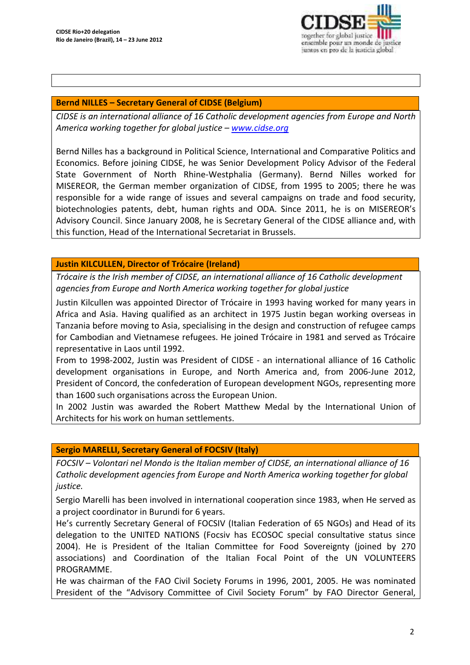

### **Bernd NILLES – Secretary General of CIDSE (Belgium)**

*CIDSE is an international alliance of 16 Catholic development agencies from Europe and North America working together for global justice – www.cidse.org* 

Bernd Nilles has a background in Political Science, International and Comparative Politics and Economics. Before joining CIDSE, he was Senior Development Policy Advisor of the Federal State Government of North Rhine‐Westphalia (Germany). Bernd Nilles worked for MISEREOR, the German member organization of CIDSE, from 1995 to 2005; there he was responsible for a wide range of issues and several campaigns on trade and food security, biotechnologies patents, debt, human rights and ODA. Since 2011, he is on MISEREOR's Advisory Council. Since January 2008, he is Secretary General of the CIDSE alliance and, with this function, Head of the International Secretariat in Brussels.

#### **Justin KILCULLEN, Director of Trócaire (Ireland)**

*Trócaire is the Irish member of CIDSE, an international alliance of 16 Catholic development agencies from Europe and North America working together for global justice*

Justin Kilcullen was appointed Director of Trócaire in 1993 having worked for many years in Africa and Asia. Having qualified as an architect in 1975 Justin began working overseas in Tanzania before moving to Asia, specialising in the design and construction of refugee camps for Cambodian and Vietnamese refugees. He joined Trócaire in 1981 and served as Trócaire representative in Laos until 1992.

From to 1998‐2002, Justin was President of CIDSE ‐ an international alliance of 16 Catholic development organisations in Europe, and North America and, from 2006‐June 2012, President of Concord, the confederation of European development NGOs, representing more than 1600 such organisations across the European Union.

In 2002 Justin was awarded the Robert Matthew Medal by the International Union of Architects for his work on human settlements.

#### **Sergio MARELLI, Secretary General of FOCSIV (Italy)**

*FOCSIV – Volontari nel Mondo is the Italian member of CIDSE, an international alliance of 16 Catholic development agencies from Europe and North America working together for global justice.*

Sergio Marelli has been involved in international cooperation since 1983, when He served as a project coordinator in Burundi for 6 years.

He's currently Secretary General of FOCSIV (Italian Federation of 65 NGOs) and Head of its delegation to the UNITED NATIONS (Focsiv has ECOSOC special consultative status since 2004). He is President of the Italian Committee for Food Sovereignty (joined by 270 associations) and Coordination of the Italian Focal Point of the UN VOLUNTEERS PROGRAMME.

He was chairman of the FAO Civil Society Forums in 1996, 2001, 2005. He was nominated President of the "Advisory Committee of Civil Society Forum" by FAO Director General,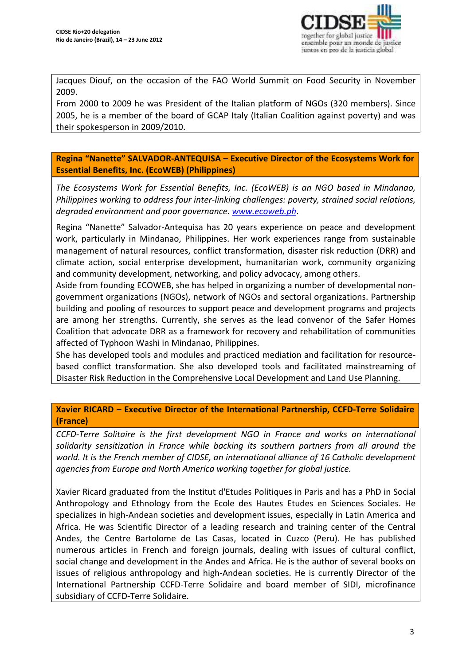

Jacques Diouf, on the occasion of the FAO World Summit on Food Security in November 2009.

From 2000 to 2009 he was President of the Italian platform of NGOs (320 members). Since 2005, he is a member of the board of GCAP Italy (Italian Coalition against poverty) and was their spokesperson in 2009/2010.

**Regina "Nanette" SALVADOR‐ANTEQUISA – Executive Director of the Ecosystems Work for Essential Benefits, Inc. (EcoWEB) (Philippines)**

*The Ecosystems Work for Essential Benefits, Inc. (EcoWEB) is an NGO based in Mindanao, Philippines working to address four inter‐linking challenges: poverty, strained social relations, degraded environment and poor governance. www.ecoweb.ph*.

Regina "Nanette" Salvador‐Antequisa has 20 years experience on peace and development work, particularly in Mindanao, Philippines. Her work experiences range from sustainable management of natural resources, conflict transformation, disaster risk reduction (DRR) and climate action, social enterprise development, humanitarian work, community organizing and community development, networking, and policy advocacy, among others.

Aside from founding ECOWEB, she has helped in organizing a number of developmental non‐ government organizations (NGOs), network of NGOs and sectoral organizations. Partnership building and pooling of resources to support peace and development programs and projects are among her strengths. Currently, she serves as the lead convenor of the Safer Homes Coalition that advocate DRR as a framework for recovery and rehabilitation of communities affected of Typhoon Washi in Mindanao, Philippines.

She has developed tools and modules and practiced mediation and facilitation for resource‐ based conflict transformation. She also developed tools and facilitated mainstreaming of Disaster Risk Reduction in the Comprehensive Local Development and Land Use Planning.

**Xavier RICARD – Executive Director of the International Partnership, CCFD‐Terre Solidaire (France)**

*CCFD‐Terre Solitaire is the first development NGO in France and works on international solidarity sensitization in France while backing its southern partners from all around the world. It is the French member of CIDSE, an international alliance of 16 Catholic development agencies from Europe and North America working together for global justice.*

Xavier Ricard graduated from the Institut d'Etudes Politiques in Paris and has a PhD in Social Anthropology and Ethnology from the Ecole des Hautes Etudes en Sciences Sociales. He specializes in high-Andean societies and development issues, especially in Latin America and Africa. He was Scientific Director of a leading research and training center of the Central Andes, the Centre Bartolome de Las Casas, located in Cuzco (Peru). He has published numerous articles in French and foreign journals, dealing with issues of cultural conflict, social change and development in the Andes and Africa. He is the author of several books on issues of religious anthropology and high‐Andean societies. He is currently Director of the International Partnership CCFD‐Terre Solidaire and board member of SIDI, microfinance subsidiary of CCFD‐Terre Solidaire.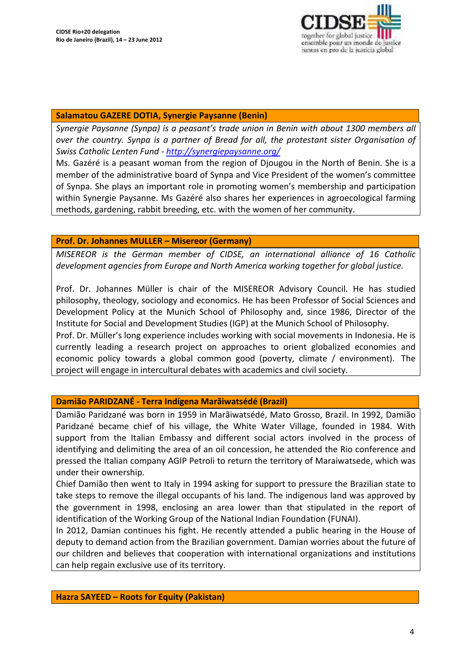

#### **Salamatou GAZERE DOTIA, Synergie Paysanne (Benin)**

*Synergie Paysanne (Synpa) is a peasant's trade union in Benin with about 1300 members all over the country. Synpa is a partner of Bread for all, the protestant sister Organisation of Swiss Catholic Lenten Fund ‐ http://synergiepaysanne.org/*

Ms. Gazéré is a peasant woman from the region of Djougou in the North of Benin. She is a member of the administrative board of Synpa and Vice President of the women's committee of Synpa. She plays an important role in promoting women's membership and participation within Synergie Paysanne. Ms Gazéré also shares her experiences in agroecological farming methods, gardening, rabbit breeding, etc. with the women of her community.

### **Prof. Dr. Johannes MULLER – Misereor (Germany)**

*MISEREOR is the German member of CIDSE, an international alliance of 16 Catholic development agencies from Europe and North America working together for global justice.*

Prof. Dr. Johannes Müller is chair of the MISEREOR Advisory Council. He has studied philosophy, theology, sociology and economics. He has been Professor of Social Sciences and Development Policy at the Munich School of Philosophy and, since 1986, Director of the Institute for Social and Development Studies (IGP) at the Munich School of Philosophy. Prof. Dr. Müller's long experience includes working with social movements in Indonesia. He is

currently leading a research project on approaches to orient globalized economies and economic policy towards a global common good (poverty, climate / environment). The project will engage in intercultural debates with academics and civil society.

### **Damião PARIDZANÉ ‐ Terra Indígena Marãiwatsédé (Brazil)**

Damião Paridzané was born in 1959 in Marãiwatsédé, Mato Grosso, Brazil. In 1992, Damião Paridzané became chief of his village, the White Water Village, founded in 1984. With support from the Italian Embassy and different social actors involved in the process of identifying and delimiting the area of an oil concession, he attended the Rio conference and pressed the Italian company AGIP Petroli to return the territory of Maraiwatsede, which was under their ownership.

Chief Damião then went to Italy in 1994 asking for support to pressure the Brazilian state to take steps to remove the illegal occupants of his land. The indigenous land was approved by the government in 1998, enclosing an area lower than that stipulated in the report of identification of the Working Group of the National Indian Foundation (FUNAI).

In 2012, Damian continues his fight. He recently attended a public hearing in the House of deputy to demand action from the Brazilian government. Damian worries about the future of our children and believes that cooperation with international organizations and institutions can help regain exclusive use of its territory.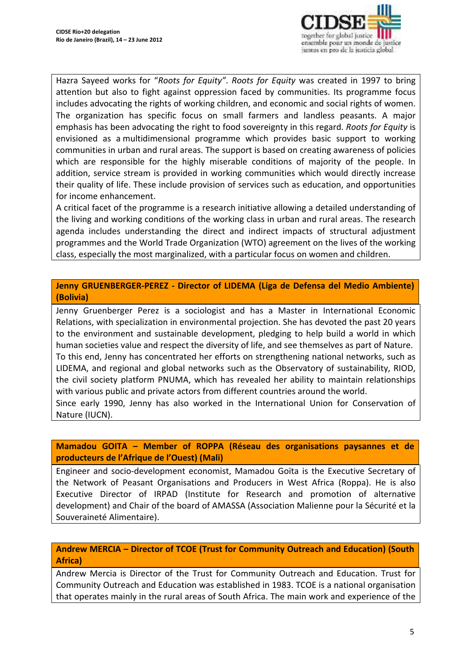

Hazra Sayeed works for "*Roots for Equity"*. *Roots for Equity* was created in 1997 to bring attention but also to fight against oppression faced by communities. Its programme focus includes advocating the rights of working children, and economic and social rights of women. The organization has specific focus on small farmers and landless peasants. A major emphasis has been advocating the right to food sovereignty in this regard. *Roots for Equity* is envisioned as a multidimensional programme which provides basic support to working communities in urban and rural areas. The support is based on creating awareness of policies which are responsible for the highly miserable conditions of majority of the people. In addition, service stream is provided in working communities which would directly increase their quality of life. These include provision of services such as education, and opportunities for income enhancement.

A critical facet of the programme is a research initiative allowing a detailed understanding of the living and working conditions of the working class in urban and rural areas. The research agenda includes understanding the direct and indirect impacts of structural adjustment programmes and the World Trade Organization (WTO) agreement on the lives of the working class, especially the most marginalized, with a particular focus on women and children.

**Jenny GRUENBERGER‐PEREZ ‐ Director of LIDEMA (Liga de Defensa del Medio Ambiente) (Bolivia)**

Jenny Gruenberger Perez is a sociologist and has a Master in International Economic Relations, with specialization in environmental projection. She has devoted the past 20 years to the environment and sustainable development, pledging to help build a world in which human societies value and respect the diversity of life, and see themselves as part of Nature. To this end, Jenny has concentrated her efforts on strengthening national networks, such as LIDEMA, and regional and global networks such as the Observatory of sustainability, RIOD, the civil society platform PNUMA, which has revealed her ability to maintain relationships with various public and private actors from different countries around the world.

Since early 1990, Jenny has also worked in the International Union for Conservation of Nature (IUCN).

### **Mamadou GOITA – Member of ROPPA (Réseau des organisations paysannes et de producteurs de l'Afrique de l'Ouest) (Mali)**

Engineer and socio‐development economist, Mamadou Goïta is the Executive Secretary of the Network of Peasant Organisations and Producers in West Africa (Roppa). He is also Executive Director of IRPAD (Institute for Research and promotion of alternative development) and Chair of the board of AMASSA (Association Malienne pour la Sécurité et la Souveraineté Alimentaire).

# **Andrew MERCIA – Director of TCOE (Trust for Community Outreach and Education) (South Africa)**

Andrew Mercia is Director of the Trust for Community Outreach and Education. Trust for Community Outreach and Education was established in 1983. TCOE is a national organisation that operates mainly in the rural areas of South Africa. The main work and experience of the